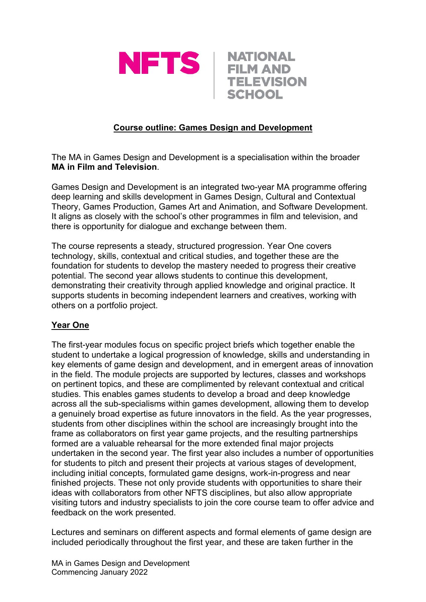



# **Course outline: Games Design and Development**

The MA in Games Design and Development is a specialisation within the broader **MA in Film and Television**.

Games Design and Development is an integrated two-year MA programme offering deep learning and skills development in Games Design, Cultural and Contextual Theory, Games Production, Games Art and Animation, and Software Development. It aligns as closely with the school's other programmes in film and television, and there is opportunity for dialogue and exchange between them.

The course represents a steady, structured progression. Year One covers technology, skills, contextual and critical studies, and together these are the foundation for students to develop the mastery needed to progress their creative potential. The second year allows students to continue this development, demonstrating their creativity through applied knowledge and original practice. It supports students in becoming independent learners and creatives, working with others on a portfolio project.

# **Year One**

The first-year modules focus on specific project briefs which together enable the student to undertake a logical progression of knowledge, skills and understanding in key elements of game design and development, and in emergent areas of innovation in the field. The module projects are supported by lectures, classes and workshops on pertinent topics, and these are complimented by relevant contextual and critical studies. This enables games students to develop a broad and deep knowledge across all the sub-specialisms within games development, allowing them to develop a genuinely broad expertise as future innovators in the field. As the year progresses, students from other disciplines within the school are increasingly brought into the frame as collaborators on first year game projects, and the resulting partnerships formed are a valuable rehearsal for the more extended final major projects undertaken in the second year. The first year also includes a number of opportunities for students to pitch and present their projects at various stages of development, including initial concepts, formulated game designs, work-in-progress and near finished projects. These not only provide students with opportunities to share their ideas with collaborators from other NFTS disciplines, but also allow appropriate visiting tutors and industry specialists to join the core course team to offer advice and feedback on the work presented.

Lectures and seminars on different aspects and formal elements of game design are included periodically throughout the first year, and these are taken further in the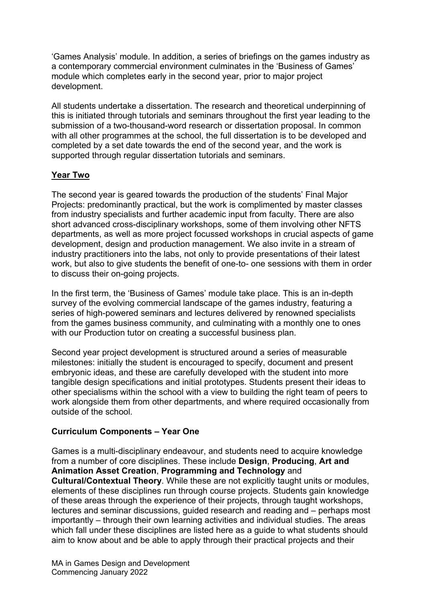'Games Analysis' module. In addition, a series of briefings on the games industry as a contemporary commercial environment culminates in the 'Business of Games' module which completes early in the second year, prior to major project development.

All students undertake a dissertation. The research and theoretical underpinning of this is initiated through tutorials and seminars throughout the first year leading to the submission of a two-thousand-word research or dissertation proposal. In common with all other programmes at the school, the full dissertation is to be developed and completed by a set date towards the end of the second year, and the work is supported through regular dissertation tutorials and seminars.

# **Year Two**

The second year is geared towards the production of the students' Final Major Projects: predominantly practical, but the work is complimented by master classes from industry specialists and further academic input from faculty. There are also short advanced cross-disciplinary workshops, some of them involving other NFTS departments, as well as more project focussed workshops in crucial aspects of game development, design and production management. We also invite in a stream of industry practitioners into the labs, not only to provide presentations of their latest work, but also to give students the benefit of one-to- one sessions with them in order to discuss their on-going projects.

In the first term, the 'Business of Games' module take place. This is an in-depth survey of the evolving commercial landscape of the games industry, featuring a series of high-powered seminars and lectures delivered by renowned specialists from the games business community, and culminating with a monthly one to ones with our Production tutor on creating a successful business plan.

Second year project development is structured around a series of measurable milestones: initially the student is encouraged to specify, document and present embryonic ideas, and these are carefully developed with the student into more tangible design specifications and initial prototypes. Students present their ideas to other specialisms within the school with a view to building the right team of peers to work alongside them from other departments, and where required occasionally from outside of the school.

# **Curriculum Components – Year One**

Games is a multi-disciplinary endeavour, and students need to acquire knowledge from a number of core disciplines. These include **Design**, **Producing**, **Art and Animation Asset Creation**, **Programming and Technology** and **Cultural/Contextual Theory**. While these are not explicitly taught units or modules, elements of these disciplines run through course projects. Students gain knowledge of these areas through the experience of their projects, through taught workshops, lectures and seminar discussions, guided research and reading and – perhaps most importantly – through their own learning activities and individual studies. The areas which fall under these disciplines are listed here as a guide to what students should aim to know about and be able to apply through their practical projects and their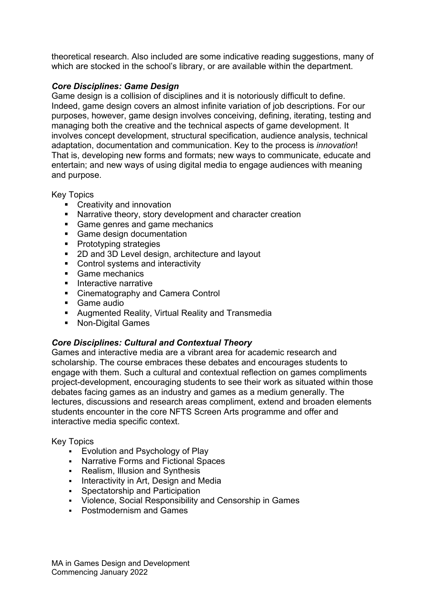theoretical research. Also included are some indicative reading suggestions, many of which are stocked in the school's library, or are available within the department.

### *Core Disciplines: Game Design*

Game design is a collision of disciplines and it is notoriously difficult to define. Indeed, game design covers an almost infinite variation of job descriptions. For our purposes, however, game design involves conceiving, defining, iterating, testing and managing both the creative and the technical aspects of game development. It involves concept development, structural specification, audience analysis, technical adaptation, documentation and communication. Key to the process is *innovation*! That is, developing new forms and formats; new ways to communicate, educate and entertain; and new ways of using digital media to engage audiences with meaning and purpose.

Key Topics

- **Creativity and innovation**
- Narrative theory, story development and character creation
- **Game genres and game mechanics**
- **Game design documentation**
- **Prototyping strategies**
- 2D and 3D Level design, architecture and layout
- **Control systems and interactivity**
- Game mechanics
- **Interactive narrative**
- **EXEC** Cinematography and Camera Control
- Game audio
- Augmented Reality, Virtual Reality and Transmedia
- Non-Digital Games

### *Core Disciplines: Cultural and Contextual Theory*

Games and interactive media are a vibrant area for academic research and scholarship. The course embraces these debates and encourages students to engage with them. Such a cultural and contextual reflection on games compliments project-development, encouraging students to see their work as situated within those debates facing games as an industry and games as a medium generally. The lectures, discussions and research areas compliment, extend and broaden elements students encounter in the core NFTS Screen Arts programme and offer and interactive media specific context.

#### Key Topics

- **Evolution and Psychology of Play**
- Narrative Forms and Fictional Spaces
- Realism, Illusion and Synthesis
- **Interactivity in Art, Design and Media**
- **Spectatorship and Participation**
- Violence, Social Responsibility and Censorship in Games
- **Postmodernism and Games**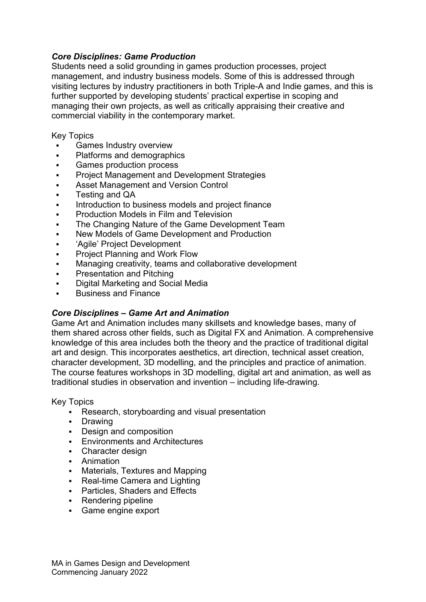### *Core Disciplines: Game Production*

Students need a solid grounding in games production processes, project management, and industry business models. Some of this is addressed through visiting lectures by industry practitioners in both Triple-A and Indie games, and this is further supported by developing students' practical expertise in scoping and managing their own projects, as well as critically appraising their creative and commercial viability in the contemporary market.

Key Topics

- Games Industry overview
- **•** Platforms and demographics
- **Games production process**
- Project Management and Development Strategies
- Asset Management and Version Control
- Testing and QA
- Introduction to business models and project finance
- Production Models in Film and Television
- The Changing Nature of the Game Development Team
- New Models of Game Development and Production
- 'Agile' Project Development
- **•** Project Planning and Work Flow
- **Managing creativity, teams and collaborative development**
- **•** Presentation and Pitching
- **•** Digital Marketing and Social Media
- Business and Finance

### *Core Disciplines – Game Art and Animation*

Game Art and Animation includes many skillsets and knowledge bases, many of them shared across other fields, such as Digital FX and Animation. A comprehensive knowledge of this area includes both the theory and the practice of traditional digital art and design. This incorporates aesthetics, art direction, technical asset creation, character development, 3D modelling, and the principles and practice of animation. The course features workshops in 3D modelling, digital art and animation, as well as traditional studies in observation and invention – including life-drawing.

Key Topics

- Research, storyboarding and visual presentation
- **-** Drawing
- **Design and composition**
- **Environments and Architectures**
- Character design
- **-** Animation
- Materials, Textures and Mapping
- Real-time Camera and Lighting
- **•** Particles, Shaders and Effects
- Rendering pipeline
- Game engine export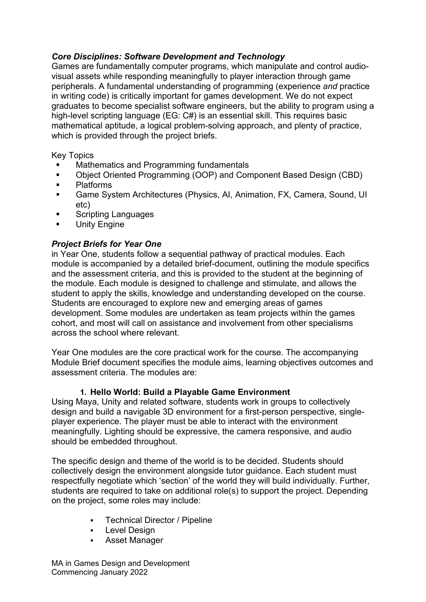# *Core Disciplines: Software Development and Technology*

Games are fundamentally computer programs, which manipulate and control audiovisual assets while responding meaningfully to player interaction through game peripherals. A fundamental understanding of programming (experience *and* practice in writing code) is critically important for games development. We do not expect graduates to become specialist software engineers, but the ability to program using a high-level scripting language (EG: C#) is an essential skill. This requires basic mathematical aptitude, a logical problem-solving approach, and plenty of practice, which is provided through the project briefs.

Key Topics

- Mathematics and Programming fundamentals
- Object Oriented Programming (OOP) and Component Based Design (CBD)
- Platforms
- Game System Architectures (Physics, AI, Animation, FX, Camera, Sound, UI etc)
- Scripting Languages
- **Unity Engine**

# *Project Briefs for Year One*

in Year One, students follow a sequential pathway of practical modules. Each module is accompanied by a detailed brief-document, outlining the module specifics and the assessment criteria, and this is provided to the student at the beginning of the module. Each module is designed to challenge and stimulate, and allows the student to apply the skills, knowledge and understanding developed on the course. Students are encouraged to explore new and emerging areas of games development. Some modules are undertaken as team projects within the games cohort, and most will call on assistance and involvement from other specialisms across the school where relevant.

Year One modules are the core practical work for the course. The accompanying Module Brief document specifies the module aims, learning objectives outcomes and assessment criteria. The modules are:

### **1. Hello World: Build a Playable Game Environment**

Using Maya, Unity and related software, students work in groups to collectively design and build a navigable 3D environment for a first-person perspective, singleplayer experience. The player must be able to interact with the environment meaningfully. Lighting should be expressive, the camera responsive, and audio should be embedded throughout.

The specific design and theme of the world is to be decided. Students should collectively design the environment alongside tutor guidance. Each student must respectfully negotiate which 'section' of the world they will build individually. Further, students are required to take on additional role(s) to support the project. Depending on the project, some roles may include:

- Technical Director / Pipeline
- **Level Design**
- Asset Manager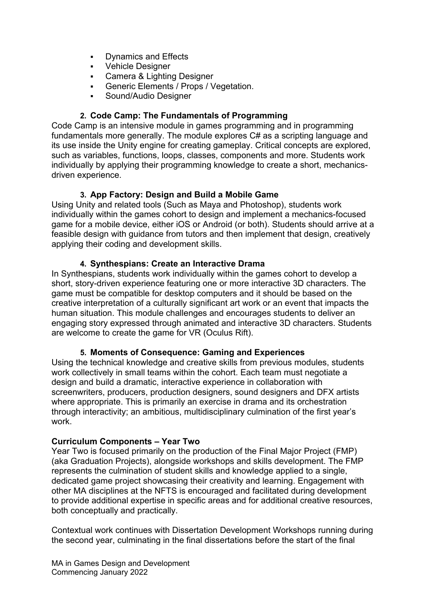- **Dynamics and Effects**
- **•** Vehicle Designer
- Camera & Lighting Designer
- Generic Elements / Props / Vegetation.
- Sound/Audio Designer

### **2. Code Camp: The Fundamentals of Programming**

Code Camp is an intensive module in games programming and in programming fundamentals more generally. The module explores C# as a scripting language and its use inside the Unity engine for creating gameplay. Critical concepts are explored, such as variables, functions, loops, classes, components and more. Students work individually by applying their programming knowledge to create a short, mechanicsdriven experience.

# **3. App Factory: Design and Build a Mobile Game**

Using Unity and related tools (Such as Maya and Photoshop), students work individually within the games cohort to design and implement a mechanics-focused game for a mobile device, either iOS or Android (or both). Students should arrive at a feasible design with guidance from tutors and then implement that design, creatively applying their coding and development skills.

### **4. Synthespians: Create an Interactive Drama**

In Synthespians, students work individually within the games cohort to develop a short, story-driven experience featuring one or more interactive 3D characters. The game must be compatible for desktop computers and it should be based on the creative interpretation of a culturally significant art work or an event that impacts the human situation. This module challenges and encourages students to deliver an engaging story expressed through animated and interactive 3D characters. Students are welcome to create the game for VR (Oculus Rift).

### **5. Moments of Consequence: Gaming and Experiences**

Using the technical knowledge and creative skills from previous modules, students work collectively in small teams within the cohort. Each team must negotiate a design and build a dramatic, interactive experience in collaboration with screenwriters, producers, production designers, sound designers and DFX artists where appropriate. This is primarily an exercise in drama and its orchestration through interactivity; an ambitious, multidisciplinary culmination of the first year's work.

### **Curriculum Components – Year Two**

Year Two is focused primarily on the production of the Final Major Project (FMP) (aka Graduation Projects), alongside workshops and skills development. The FMP represents the culmination of student skills and knowledge applied to a single, dedicated game project showcasing their creativity and learning. Engagement with other MA disciplines at the NFTS is encouraged and facilitated during development to provide additional expertise in specific areas and for additional creative resources, both conceptually and practically.

Contextual work continues with Dissertation Development Workshops running during the second year, culminating in the final dissertations before the start of the final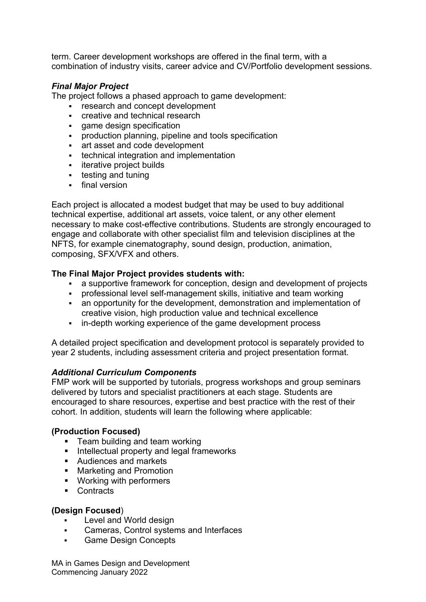term. Career development workshops are offered in the final term, with a combination of industry visits, career advice and CV/Portfolio development sessions.

# *Final Major Project*

The project follows a phased approach to game development:

- **F** research and concept development
- **EXECTED** creative and technical research
- **qame design specification**
- **•** production planning, pipeline and tools specification
- art asset and code development
- technical integration and implementation
- **i** iterative project builds
- $\blacksquare$  testing and tuning
- **final version**

Each project is allocated a modest budget that may be used to buy additional technical expertise, additional art assets, voice talent, or any other element necessary to make cost-effective contributions. Students are strongly encouraged to engage and collaborate with other specialist film and television disciplines at the NFTS, for example cinematography, sound design, production, animation, composing, SFX/VFX and others.

### **The Final Major Project provides students with:**

- a supportive framework for conception, design and development of projects<br>• orrofessional level self-management skills, initiative and team working
- professional level self-management skills, initiative and team working
- an opportunity for the development, demonstration and implementation of creative vision, high production value and technical excellence
- in-depth working experience of the game development process

A detailed project specification and development protocol is separately provided to year 2 students, including assessment criteria and project presentation format.

### *Additional Curriculum Components*

FMP work will be supported by tutorials, progress workshops and group seminars delivered by tutors and specialist practitioners at each stage. Students are encouraged to share resources, expertise and best practice with the rest of their cohort. In addition, students will learn the following where applicable:

# **(Production Focused)**

- **Team building and team working**
- $\blacksquare$  Intellectual property and legal frameworks
- Audiences and markets
- Marketing and Promotion
- **Working with performers**
- Contracts

### **(Design Focused**)

- Level and World design
- Cameras, Control systems and Interfaces
- **Game Design Concepts**